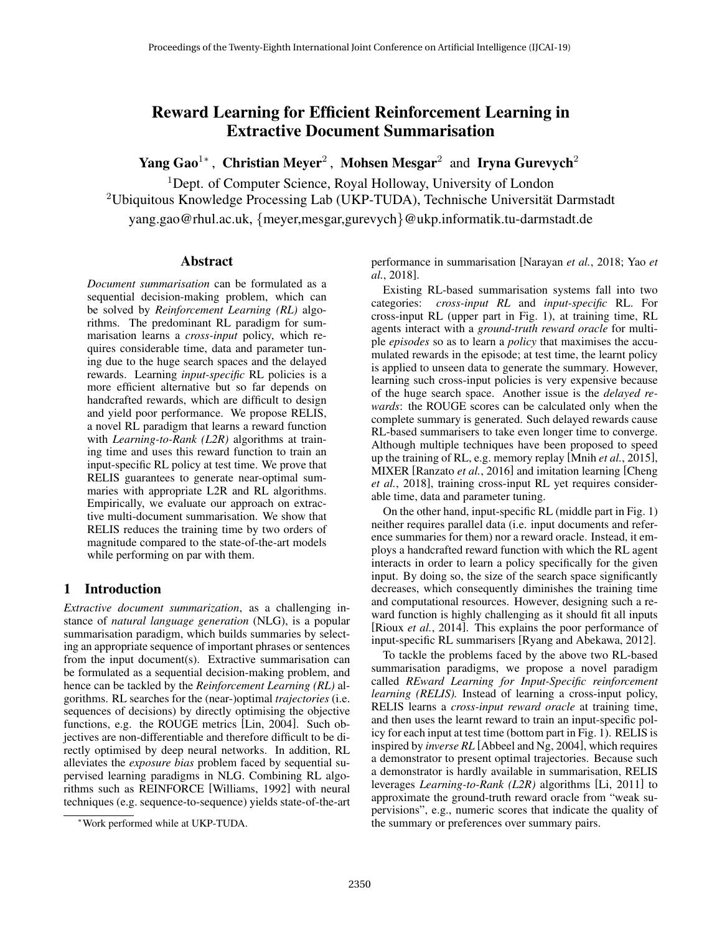# Reward Learning for Efficient Reinforcement Learning in Extractive Document Summarisation

Yang Gao<sup>1</sup>\*, Christian Meyer<sup>2</sup>, Mohsen Mesgar<sup>2</sup> and Iryna Gurevych<sup>2</sup>

<sup>1</sup>Dept. of Computer Science, Royal Holloway, University of London  $2$ Ubiquitous Knowledge Processing Lab (UKP-TUDA), Technische Universität Darmstadt yang.gao@rhul.ac.uk, {meyer,mesgar,gurevych}@ukp.informatik.tu-darmstadt.de

# Abstract

*Document summarisation* can be formulated as a sequential decision-making problem, which can be solved by *Reinforcement Learning (RL)* algorithms. The predominant RL paradigm for summarisation learns a *cross-input* policy, which requires considerable time, data and parameter tuning due to the huge search spaces and the delayed rewards. Learning *input-specific* RL policies is a more efficient alternative but so far depends on handcrafted rewards, which are difficult to design and yield poor performance. We propose RELIS, a novel RL paradigm that learns a reward function with *Learning-to-Rank (L2R)* algorithms at training time and uses this reward function to train an input-specific RL policy at test time. We prove that RELIS guarantees to generate near-optimal summaries with appropriate L2R and RL algorithms. Empirically, we evaluate our approach on extractive multi-document summarisation. We show that RELIS reduces the training time by two orders of magnitude compared to the state-of-the-art models while performing on par with them.

# 1 Introduction

*Extractive document summarization*, as a challenging instance of *natural language generation* (NLG), is a popular summarisation paradigm, which builds summaries by selecting an appropriate sequence of important phrases or sentences from the input document(s). Extractive summarisation can be formulated as a sequential decision-making problem, and hence can be tackled by the *Reinforcement Learning (RL)* algorithms. RL searches for the (near-)optimal *trajectories* (i.e. sequences of decisions) by directly optimising the objective functions, e.g. the ROUGE metrics [Lin, 2004]. Such objectives are non-differentiable and therefore difficult to be directly optimised by deep neural networks. In addition, RL alleviates the *exposure bias* problem faced by sequential supervised learning paradigms in NLG. Combining RL algorithms such as REINFORCE [Williams, 1992] with neural techniques (e.g. sequence-to-sequence) yields state-of-the-art

performance in summarisation [Narayan *et al.*, 2018; Yao *et al.*, 2018].

Existing RL-based summarisation systems fall into two categories: *cross-input RL* and *input-specific* RL. For cross-input RL (upper part in Fig. 1), at training time, RL agents interact with a *ground-truth reward oracle* for multiple *episodes* so as to learn a *policy* that maximises the accumulated rewards in the episode; at test time, the learnt policy is applied to unseen data to generate the summary. However, learning such cross-input policies is very expensive because of the huge search space. Another issue is the *delayed rewards*: the ROUGE scores can be calculated only when the complete summary is generated. Such delayed rewards cause RL-based summarisers to take even longer time to converge. Although multiple techniques have been proposed to speed up the training of RL, e.g. memory replay [Mnih *et al.*, 2015], MIXER [Ranzato *et al.*, 2016] and imitation learning [Cheng *et al.*, 2018], training cross-input RL yet requires considerable time, data and parameter tuning.

On the other hand, input-specific RL (middle part in Fig. 1) neither requires parallel data (i.e. input documents and reference summaries for them) nor a reward oracle. Instead, it employs a handcrafted reward function with which the RL agent interacts in order to learn a policy specifically for the given input. By doing so, the size of the search space significantly decreases, which consequently diminishes the training time and computational resources. However, designing such a reward function is highly challenging as it should fit all inputs [Rioux *et al.*, 2014]. This explains the poor performance of input-specific RL summarisers [Ryang and Abekawa, 2012].

To tackle the problems faced by the above two RL-based summarisation paradigms, we propose a novel paradigm called *REward Learning for Input-Specific reinforcement learning (RELIS).* Instead of learning a cross-input policy, RELIS learns a *cross-input reward oracle* at training time, and then uses the learnt reward to train an input-specific policy for each input at test time (bottom part in Fig. 1). RELIS is inspired by *inverse RL* [Abbeel and Ng, 2004], which requires a demonstrator to present optimal trajectories. Because such a demonstrator is hardly available in summarisation, RELIS leverages *Learning-to-Rank (L2R)* algorithms [Li, 2011] to approximate the ground-truth reward oracle from "weak supervisions", e.g., numeric scores that indicate the quality of the summary or preferences over summary pairs.

<sup>∗</sup>Work performed while at UKP-TUDA.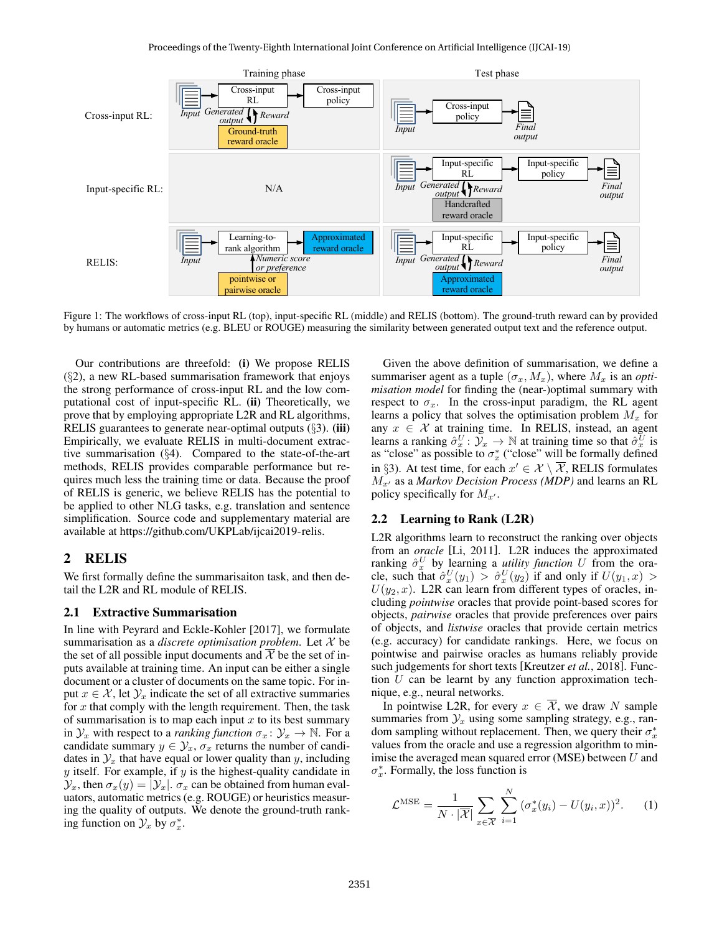

Figure 1: The workflows of cross-input RL (top), input-specific RL (middle) and RELIS (bottom). The ground-truth reward can by provided by humans or automatic metrics (e.g. BLEU or ROUGE) measuring the similarity between generated output text and the reference output.

Our contributions are threefold: (i) We propose RELIS (§2), a new RL-based summarisation framework that enjoys the strong performance of cross-input RL and the low computational cost of input-specific RL. (ii) Theoretically, we prove that by employing appropriate L2R and RL algorithms, RELIS guarantees to generate near-optimal outputs  $(\S3)$ . (iii) Empirically, we evaluate RELIS in multi-document extractive summarisation (§4). Compared to the state-of-the-art methods, RELIS provides comparable performance but requires much less the training time or data. Because the proof of RELIS is generic, we believe RELIS has the potential to be applied to other NLG tasks, e.g. translation and sentence simplification. Source code and supplementary material are available at https://github.com/UKPLab/ijcai2019-relis.

# 2 RELIS

We first formally define the summarisaiton task, and then detail the L2R and RL module of RELIS.

#### 2.1 Extractive Summarisation

In line with Peyrard and Eckle-Kohler [2017], we formulate summarisation as a *discrete optimisation problem*. Let X be the set of all possible input documents and  $\overline{\mathcal{X}}$  be the set of inputs available at training time. An input can be either a single document or a cluster of documents on the same topic. For input  $x \in \mathcal{X}$ , let  $\mathcal{Y}_x$  indicate the set of all extractive summaries for  $x$  that comply with the length requirement. Then, the task of summarisation is to map each input  $x$  to its best summary in  $\mathcal{Y}_x$  with respect to a *ranking function*  $\sigma_x : \mathcal{Y}_x \to \mathbb{N}$ . For a candidate summary  $y \in \mathcal{Y}_x$ ,  $\sigma_x$  returns the number of candidates in  $\mathcal{Y}_x$  that have equal or lower quality than y, including  $y$  itself. For example, if  $y$  is the highest-quality candidate in  $\mathcal{Y}_x$ , then  $\sigma_x(y) = |\mathcal{Y}_x|$ .  $\sigma_x$  can be obtained from human evaluators, automatic metrics (e.g. ROUGE) or heuristics measuring the quality of outputs. We denote the ground-truth ranking function on  $\mathcal{Y}_x$  by  $\sigma_x^*$ .

Given the above definition of summarisation, we define a summariser agent as a tuple  $(\sigma_x, M_x)$ , where  $M_x$  is an *optimisation model* for finding the (near-)optimal summary with respect to  $\sigma_x$ . In the cross-input paradigm, the RL agent learns a policy that solves the optimisation problem  $M_x$  for any  $x \in \mathcal{X}$  at training time. In RELIS, instead, an agent learns a ranking  $\hat{\sigma}_x^U : \mathcal{Y}_x \to \mathbb{N}$  at training time so that  $\hat{\sigma}_x^U$  is as "close" as possible to  $\sigma_x^*$  ("close" will be formally defined in §3). At test time, for each  $x' \in \mathcal{X} \setminus \overline{\mathcal{X}}$ , RELIS formulates  $M_{x}$  as a *Markov Decision Process (MDP)* and learns an RL policy specifically for  $M_{x'}$ .

### 2.2 Learning to Rank (L2R)

L2R algorithms learn to reconstruct the ranking over objects from an *oracle* [Li, 2011]. L2R induces the approximated ranking  $\hat{\sigma}_x^U$  by learning a *utility function* U from the oracle, such that  $\hat{\sigma}_x^U(y_1) > \hat{\sigma}_x^U(y_2)$  if and only if  $U(y_1, x) >$  $U(y_2, x)$ . L2R can learn from different types of oracles, including *pointwise* oracles that provide point-based scores for objects, *pairwise* oracles that provide preferences over pairs of objects, and *listwise* oracles that provide certain metrics (e.g. accuracy) for candidate rankings. Here, we focus on pointwise and pairwise oracles as humans reliably provide such judgements for short texts [Kreutzer *et al.*, 2018]. Function  $U$  can be learnt by any function approximation technique, e.g., neural networks.

In pointwise L2R, for every  $x \in \overline{\mathcal{X}}$ , we draw N sample summaries from  $\mathcal{Y}_x$  using some sampling strategy, e.g., random sampling without replacement. Then, we query their  $\sigma_x^*$ values from the oracle and use a regression algorithm to minimise the averaged mean squared error (MSE) between  $U$  and  $\sigma_x^*$ . Formally, the loss function is

$$
\mathcal{L}^{\text{MSE}} = \frac{1}{N \cdot |\overline{\mathcal{X}}|} \sum_{x \in \overline{\mathcal{X}}} \sum_{i=1}^{N} (\sigma_x^*(y_i) - U(y_i, x))^2.
$$
 (1)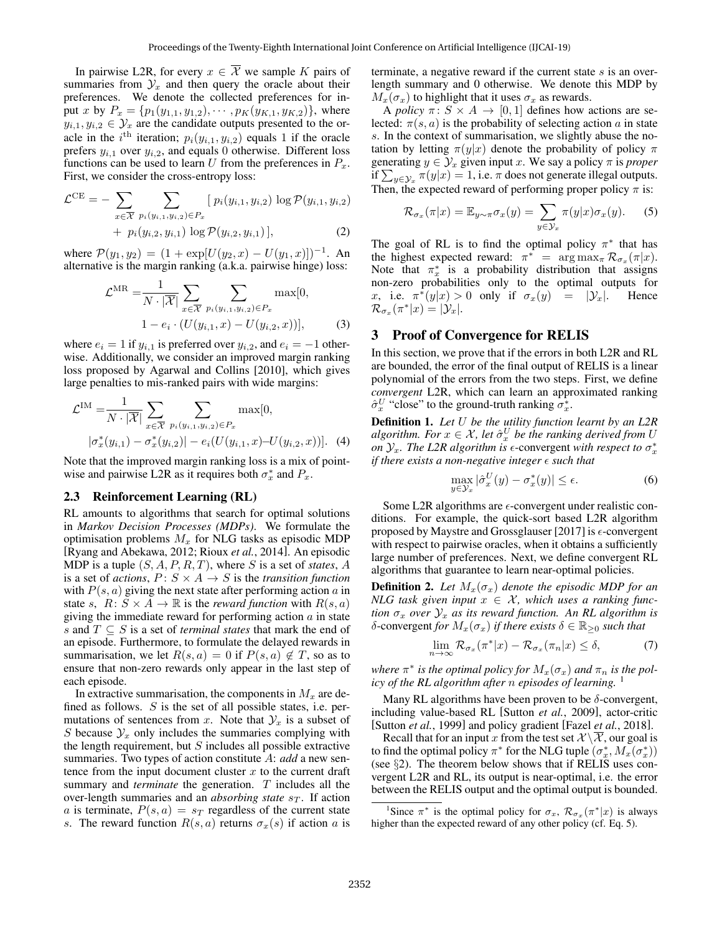In pairwise L2R, for every  $x \in \overline{\mathcal{X}}$  we sample K pairs of summaries from  $\mathcal{Y}_x$  and then query the oracle about their preferences. We denote the collected preferences for input x by  $P_x = \{p_1(y_{1,1}, y_{1,2}), \cdots, p_K(y_{K,1}, y_{K,2})\}$ , where  $y_{i,1}, y_{i,2} \in \mathcal{Y}_x$  are the candidate outputs presented to the oracle in the *i*<sup>th</sup> iteration;  $p_i(y_{i,1}, y_{i,2})$  equals 1 if the oracle prefers  $y_{i,1}$  over  $y_{i,2}$ , and equals 0 otherwise. Different loss functions can be used to learn U from the preferences in  $P_x$ . First, we consider the cross-entropy loss:

$$
\mathcal{L}^{\text{CE}} = -\sum_{x \in \overline{\mathcal{X}}} \sum_{p_i(y_{i,1}, y_{i,2}) \in P_x} [p_i(y_{i,1}, y_{i,2}) \log \mathcal{P}(y_{i,1}, y_{i,2}) + p_i(y_{i,2}, y_{i,1}) \log \mathcal{P}(y_{i,2}, y_{i,1})], \tag{2}
$$

where  $\mathcal{P}(y_1, y_2) = (1 + \exp[U(y_2, x) - U(y_1, x)])^{-1}$ . An alternative is the margin ranking  $(a.k.a.$  pairwise hinge) loss:

$$
\mathcal{L}^{\text{MR}} = \frac{1}{N \cdot |\overline{\mathcal{X}}|} \sum_{x \in \overline{\mathcal{X}}} \sum_{p_i(y_{i,1}, y_{i,2}) \in P_x} \max[0, \quad 1 - e_i \cdot (U(y_{i,1}, x) - U(y_{i,2}, x))], \quad (3)
$$

where  $e_i = 1$  if  $y_{i,1}$  is preferred over  $y_{i,2}$ , and  $e_i = -1$  otherwise. Additionally, we consider an improved margin ranking loss proposed by Agarwal and Collins [2010], which gives large penalties to mis-ranked pairs with wide margins:

$$
\mathcal{L}^{\text{IM}} = \frac{1}{N \cdot |\overline{\mathcal{X}}|} \sum_{x \in \overline{\mathcal{X}}} \sum_{p_i(y_{i,1}, y_{i,2}) \in P_x} \max[0, \quad | \sigma_x^*(y_{i,1}) - \sigma_x^*(y_{i,2}) | - e_i(U(y_{i,1}, x) - U(y_{i,2}, x))]. \tag{4}
$$

Note that the improved margin ranking loss is a mix of pointwise and pairwise L2R as it requires both  $\sigma_x^*$  and  $P_x$ .

#### 2.3 Reinforcement Learning (RL)

RL amounts to algorithms that search for optimal solutions in *Markov Decision Processes (MDPs)*. We formulate the optimisation problems  $M_x$  for NLG tasks as episodic MDP [Ryang and Abekawa, 2012; Rioux *et al.*, 2014]. An episodic MDP is a tuple (S, A, P, R, T), where S is a set of *states*, A is a set of *actions*,  $P: S \times A \rightarrow S$  is the *transition function* with  $P(s, a)$  giving the next state after performing action a in state s,  $R: S \times A \rightarrow \mathbb{R}$  is the *reward function* with  $R(s, a)$ giving the immediate reward for performing action  $a$  in state s and T ⊆ S is a set of *terminal states* that mark the end of an episode. Furthermore, to formulate the delayed rewards in summarisation, we let  $R(s, a) = 0$  if  $P(s, a) \notin T$ , so as to ensure that non-zero rewards only appear in the last step of each episode.

In extractive summarisation, the components in  $M_x$  are defined as follows.  $S$  is the set of all possible states, i.e. permutations of sentences from x. Note that  $\mathcal{Y}_x$  is a subset of S because  $\mathcal{Y}_x$  only includes the summaries complying with the length requirement, but  $S$  includes all possible extractive summaries. Two types of action constitute A: *add* a new sentence from the input document cluster  $x$  to the current draft summary and *terminate* the generation. T includes all the over-length summaries and an *absorbing state* s<sub>T</sub>. If action a is terminate,  $P(s, a) = s_T$  regardless of the current state s. The reward function  $R(s, a)$  returns  $\sigma_x(s)$  if action a is terminate, a negative reward if the current state  $s$  is an overlength summary and 0 otherwise. We denote this MDP by  $M_x(\sigma_x)$  to highlight that it uses  $\sigma_x$  as rewards.

A *policy*  $\pi: S \times A \rightarrow [0, 1]$  defines how actions are selected:  $\pi(s, a)$  is the probability of selecting action a in state s. In the context of summarisation, we slightly abuse the notation by letting  $\pi(y|x)$  denote the probability of policy  $\pi$ generating  $y \in \mathcal{Y}_x$  given input x. We say a policy  $\pi$  is *proper* if  $\sum_{y \in \mathcal{Y}_x} \pi(y|x) = 1$ , i.e.  $\pi$  does not generate illegal outputs. Then, the expected reward of performing proper policy  $\pi$  is:

$$
\mathcal{R}_{\sigma_x}(\pi|x) = \mathbb{E}_{y \sim \pi} \sigma_x(y) = \sum_{y \in \mathcal{Y}_x} \pi(y|x) \sigma_x(y). \tag{5}
$$

The goal of RL is to find the optimal policy  $\pi^*$  that has the highest expected reward:  $\pi^* = \arg \max_{\pi} \mathcal{R}_{\sigma_x}(\pi|x)$ . Note that  $\pi_x^*$  is a probability distribution that assigns non-zero probabilities only to the optimal outputs for x, i.e.  $\pi^*(y|x) > 0$  only if  $\sigma_x(y) = |\mathcal{Y}_x|$ . Hence  $\mathcal{R}_{\sigma_x}(\pi^*|x) = |\mathcal{Y}_x|.$ 

#### 3 Proof of Convergence for RELIS

In this section, we prove that if the errors in both L2R and RL are bounded, the error of the final output of RELIS is a linear polynomial of the errors from the two steps. First, we define *convergent* L2R, which can learn an approximated ranking  $\hat{\sigma}_x^U$  "close" to the ground-truth ranking  $\sigma_x^*$ .

Definition 1. *Let* U *be the utility function learnt by an L2R*  $algorithm.$  For  $x \in \mathcal{X}$ , let  $\hat{\sigma}_x^U$  be the ranking derived from U *on*  $\mathcal{Y}_x$ . The L2R algorithm is  $\epsilon$ -convergent with respect to  $\sigma_x^*$ *if there exists a non-negative integer*  $\epsilon$  *such that* 

$$
\max_{y \in \mathcal{Y}_x} |\hat{\sigma}_x^U(y) - \sigma_x^*(y)| \le \epsilon.
$$
 (6)

Some L2R algorithms are  $\epsilon$ -convergent under realistic conditions. For example, the quick-sort based L2R algorithm proposed by Maystre and Grossglauser [2017] is  $\epsilon$ -convergent with respect to pairwise oracles, when it obtains a sufficiently large number of preferences. Next, we define convergent RL algorithms that guarantee to learn near-optimal policies.

**Definition 2.** Let  $M_x(\sigma_x)$  denote the episodic MDP for an *NLG task given input*  $x \in \mathcal{X}$ , which uses a ranking func*tion*  $\sigma_x$  *over*  $\mathcal{Y}_x$  *as its reward function. An RL algorithm is* δ-convergent *for*  $M_x(σ_x)$  *if there exists*  $δ ∈ ℝ_{≥0}$  *such that* 

$$
\lim_{n \to \infty} \mathcal{R}_{\sigma_x}(\pi^*|x) - \mathcal{R}_{\sigma_x}(\pi_n|x) \le \delta,\tag{7}
$$

where  $\pi^*$  is the optimal policy for  $M_x(\sigma_x)$  and  $\pi_n$  is the pol*icy of the RL algorithm after* n *episodes of learning.* <sup>1</sup>

Many RL algorithms have been proven to be  $\delta$ -convergent, including value-based RL [Sutton *et al.*, 2009], actor-critic [Sutton *et al.*, 1999] and policy gradient [Fazel *et al.*, 2018].

Recall that for an input x from the test set  $\mathcal{X}\setminus\overline{\mathcal{X}}$ , our goal is to find the optimal policy  $\pi^*$  for the NLG tuple  $(\sigma_x^*, M_x(\sigma_x^*))$ (see §2). The theorem below shows that if RELIS uses convergent L2R and RL, its output is near-optimal, i.e. the error between the RELIS output and the optimal output is bounded.

<sup>&</sup>lt;sup>1</sup>Since  $\pi^*$  is the optimal policy for  $\sigma_x$ ,  $\mathcal{R}_{\sigma_x}(\pi^*|x)$  is always higher than the expected reward of any other policy (cf. Eq. 5).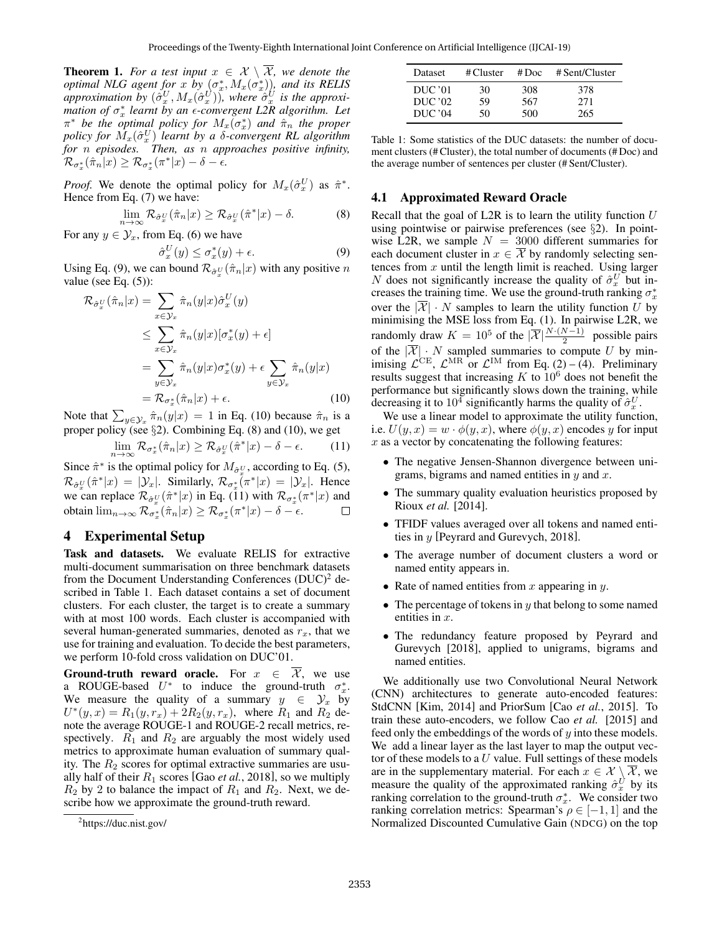**Theorem 1.** For a test input  $x \in \mathcal{X} \setminus \overline{\mathcal{X}}$ , we denote the *optimal NLG agent for* x *by*  $(\sigma_x^*, M_x(\sigma_x^*))$ *, and its RELIS*  $a$ *pproximation by*  $(\hat{\sigma}_x^U, M_x(\hat{\sigma}_x^U))$ , where  $\hat{\sigma}_x^U$  is the approxi*mation of*  $σ_x^*$  *learnt by an*  $ε$ *-convergent L2R algorithm. Let*  $\pi^*$  be the optimal policy for  $M_x(\sigma_x^*)$  and  $\hat{\pi}_n$  the proper *policy for*  $\overline{M}_x(\hat{\sigma}_x^U)$  *learnt by a*  $\delta$ *-convergent RL algorithm for* n *episodes. Then, as* n *approaches positive infinity,*  $\mathcal{R}_{\sigma_x^*}(\hat{\pi}_n|x) \geq \mathcal{R}_{\sigma_x^*}(\pi^*|x) - \delta - \epsilon.$ 

*Proof.* We denote the optimal policy for  $M_x(\hat{\sigma}_x^U)$  as  $\hat{\pi}^*$ . Hence from Eq. (7) we have:

$$
\lim_{n \to \infty} \mathcal{R}_{\hat{\sigma}_x^U}(\hat{\pi}_n | x) \ge \mathcal{R}_{\hat{\sigma}_x^U}(\hat{\pi}^* | x) - \delta. \tag{8}
$$

For any  $y \in \mathcal{Y}_x$ , from Eq. (6) we have

$$
\hat{\sigma}_x^U(y) \le \sigma_x^*(y) + \epsilon. \tag{9}
$$

Using Eq. (9), we can bound  $\mathcal{R}_{\hat{\sigma}_x^U}(\hat{\pi}_n|x)$  with any positive n value (see Eq.  $(5)$ ):

$$
\mathcal{R}_{\hat{\sigma}_x^U}(\hat{\pi}_n|x) = \sum_{x \in \mathcal{Y}_x} \hat{\pi}_n(y|x) \hat{\sigma}_x^U(y)
$$
  
\n
$$
\leq \sum_{x \in \mathcal{Y}_x} \hat{\pi}_n(y|x) [\sigma_x^*(y) + \epsilon]
$$
  
\n
$$
= \sum_{y \in \mathcal{Y}_x} \hat{\pi}_n(y|x) \sigma_x^*(y) + \epsilon \sum_{y \in \mathcal{Y}_x} \hat{\pi}_n(y|x)
$$
  
\n
$$
= \mathcal{R}_{\sigma_x^*}(\hat{\pi}_n|x) + \epsilon.
$$
 (10)

Note that  $\sum_{y \in \mathcal{Y}_x} \hat{\pi}_n(y|x) = 1$  in Eq. (10) because  $\hat{\pi}_n$  is a proper policy (see §2). Combining Eq. (8) and (10), we get

$$
\lim_{n \to \infty} \mathcal{R}_{\sigma_x^*}(\hat{\pi}_n | x) \ge \mathcal{R}_{\hat{\sigma}_x^U}(\hat{\pi}^* | x) - \delta - \epsilon.
$$
 (11)

Since  $\hat{\pi}^*$  is the optimal policy for  $M_{\hat{\sigma}_\alpha^U}$ , according to Eq. (5),  $\mathcal{R}_{\hat{\sigma}_x^U}(\hat{\pi}^*|x) = |\mathcal{Y}_x|$ . Similarly,  $\mathcal{R}_{\sigma_x^*}(\pi^*|x) = |\mathcal{Y}_x|$ . Hence we can replace  $\mathcal{R}_{\hat{\sigma}_x^U}(\hat{\pi}^*|x)$  in Eq. (11) with  $\mathcal{R}_{\sigma_x^*}(\pi^*|x)$  and obtain  $\lim_{n\to\infty} \mathcal{R}_{\sigma_x^*}(\hat{\pi}_n|x) \geq \mathcal{R}_{\sigma_x^*}(\pi^*|x) - \delta - \epsilon.$  $\Box$ 

#### 4 Experimental Setup

Task and datasets. We evaluate RELIS for extractive multi-document summarisation on three benchmark datasets from the Document Understanding Conferences  $(DUC)^2$  described in Table 1. Each dataset contains a set of document clusters. For each cluster, the target is to create a summary with at most 100 words. Each cluster is accompanied with several human-generated summaries, denoted as  $r<sub>x</sub>$ , that we use for training and evaluation. To decide the best parameters, we perform 10-fold cross validation on DUC'01.

**Ground-truth reward oracle.** For  $x \in \overline{X}$ , we use a ROUGE-based  $U^*$  to induce the ground-truth  $\sigma_x^*$ . We measure the quality of a summary  $y \in \mathcal{Y}_x$  by  $U^*(y, x) = R_1(y, r_x) + 2R_2(y, r_x)$ , where  $R_1$  and  $R_2$  denote the average ROUGE-1 and ROUGE-2 recall metrics, respectively.  $R_1$  and  $R_2$  are arguably the most widely used metrics to approximate human evaluation of summary quality. The  $R_2$  scores for optimal extractive summaries are usually half of their  $R_1$  scores [Gao *et al.*, 2018], so we multiply  $R_2$  by 2 to balance the impact of  $R_1$  and  $R_2$ . Next, we describe how we approximate the ground-truth reward.

| Dataset | # Cluster | #Doc | # Sent/Cluster |
|---------|-----------|------|----------------|
| DUC '01 | 30        | 308  | 378            |
| DUC '02 | 59        | 567  | 271            |
| DUC'04  | 50        | 500  | 265            |

Table 1: Some statistics of the DUC datasets: the number of document clusters (# Cluster), the total number of documents (# Doc) and the average number of sentences per cluster (# Sent/Cluster).

#### 4.1 Approximated Reward Oracle

Recall that the goal of L2R is to learn the utility function  $U$ using pointwise or pairwise preferences (see §2). In pointwise L2R, we sample  $N = 3000$  different summaries for each document cluster in  $x \in \overline{X}$  by randomly selecting sentences from  $x$  until the length limit is reached. Using larger N does not significantly increase the quality of  $\hat{\sigma}_x^U$  but increases the training time. We use the ground-truth ranking  $\sigma_x^*$ over the  $|\mathcal{X}| \cdot N$  samples to learn the utility function U by minimising the MSE loss from Eq. (1). In pairwise L2R, we randomly draw  $K = 10^5$  of the  $|\overline{\mathcal{X}}| \frac{N \cdot (N-1)}{2}$  possible pairs of the  $|\overline{\mathcal{X}}| \cdot N$  sampled summaries to compute U by minimising  $\mathcal{L}^{CE}$ ,  $\mathcal{L}^{MR}$  or  $\mathcal{L}^{IM}$  from Eq. (2) – (4). Preliminary results suggest that increasing  $K$  to  $10^6$  does not benefit the performance but significantly slows down the training, while decreasing it to  $10^4$  significantly harms the quality of  $\hat{\sigma}_x^U$ .

We use a linear model to approximate the utility function, i.e.  $U(y, x) = w \cdot \phi(y, x)$ , where  $\phi(y, x)$  encodes y for input  $x$  as a vector by concatenating the following features:

- The negative Jensen-Shannon divergence between unigrams, bigrams and named entities in  $y$  and  $x$ .
- The summary quality evaluation heuristics proposed by Rioux *et al.* [2014].
- TFIDF values averaged over all tokens and named entities in y [Peyrard and Gurevych, 2018].
- The average number of document clusters a word or named entity appears in.
- Rate of named entities from  $x$  appearing in  $y$ .
- The percentage of tokens in  $y$  that belong to some named entities in x.
- The redundancy feature proposed by Peyrard and Gurevych [2018], applied to unigrams, bigrams and named entities.

We additionally use two Convolutional Neural Network (CNN) architectures to generate auto-encoded features: StdCNN [Kim, 2014] and PriorSum [Cao *et al.*, 2015]. To train these auto-encoders, we follow Cao *et al.* [2015] and feed only the embeddings of the words of  $y$  into these models. We add a linear layer as the last layer to map the output vector of these models to a  $U$  value. Full settings of these models are in the supplementary material. For each  $x \in \mathcal{X} \setminus \overline{\mathcal{X}}$ , we measure the quality of the approximated ranking  $\hat{\sigma}_x^U$  by its ranking correlation to the ground-truth  $\sigma_x^*$ . We consider two ranking correlation metrics: Spearman's  $\rho \in [-1, 1]$  and the Normalized Discounted Cumulative Gain (NDCG) on the top

<sup>&</sup>lt;sup>2</sup>https://duc.nist.gov/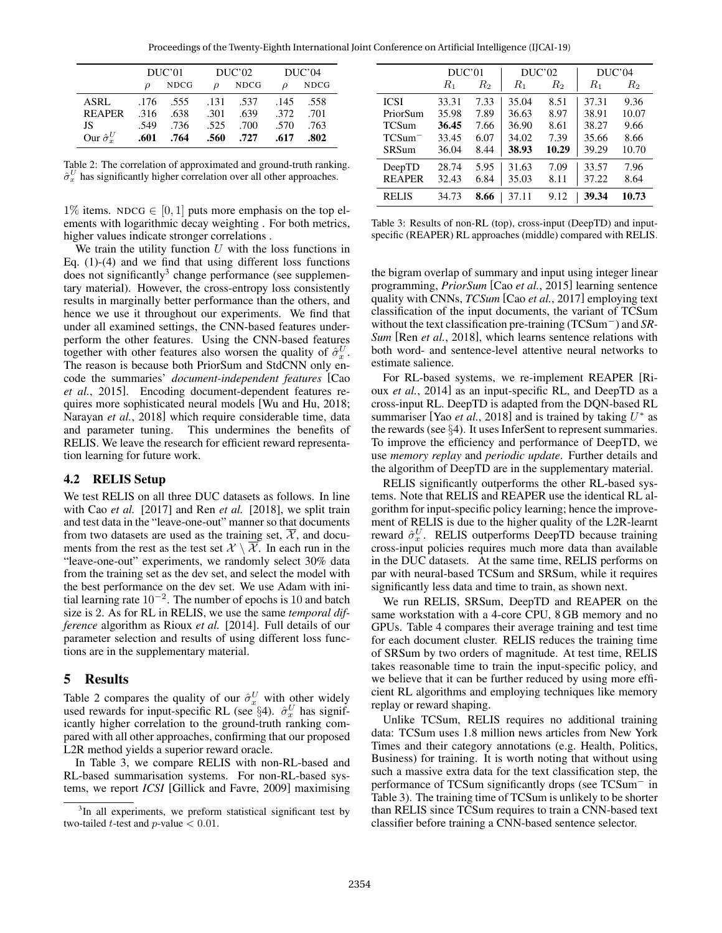Proceedings of the Twenty-Eighth International Joint Conference on Artificial Intelligence (IJCAI-19)

|                          | DUC'01   |             | DUC'02        |             | DUC'04   |             |
|--------------------------|----------|-------------|---------------|-------------|----------|-------------|
|                          | $\Omega$ | <b>NDCG</b> | $\mathcal{Q}$ | <b>NDCG</b> | $\Omega$ | <b>NDCG</b> |
| <b>ASRL</b>              |          | $.176$ .555 | .131          | .537        | .145     | .558        |
| <b>REAPER</b>            | .316     | .638        | .301          | .639        | .372     | .701        |
| JS                       | .549     | .736        |               | .525 .700   | .570     | .763        |
| Our $\hat{\sigma}_{r}^U$ | .601     | .764        |               | .560. .727  | .617     | .802        |

Table 2: The correlation of approximated and ground-truth ranking.  $\hat{\sigma}_x^U$  has significantly higher correlation over all other approaches.

1% items. NDCG  $\in$  [0, 1] puts more emphasis on the top elements with logarithmic decay weighting . For both metrics, higher values indicate stronger correlations .

We train the utility function  $U$  with the loss functions in Eq. (1)-(4) and we find that using different loss functions does not significantly<sup>3</sup> change performance (see supplementary material). However, the cross-entropy loss consistently results in marginally better performance than the others, and hence we use it throughout our experiments. We find that under all examined settings, the CNN-based features underperform the other features. Using the CNN-based features together with other features also worsen the quality of  $\hat{\sigma}_x^U$ . The reason is because both PriorSum and StdCNN only encode the summaries' *document-independent features* [Cao *et al.*, 2015]. Encoding document-dependent features requires more sophisticated neural models [Wu and Hu, 2018; Narayan *et al.*, 2018] which require considerable time, data and parameter tuning. This undermines the benefits of RELIS. We leave the research for efficient reward representation learning for future work.

#### 4.2 RELIS Setup

We test RELIS on all three DUC datasets as follows. In line with Cao *et al.* [2017] and Ren *et al.* [2018], we split train and test data in the "leave-one-out" manner so that documents from two datasets are used as the training set,  $\overline{\mathcal{X}}$ , and documents from the rest as the test set  $\mathcal{X} \setminus \mathcal{X}$ . In each run in the "leave-one-out" experiments, we randomly select 30% data from the training set as the dev set, and select the model with the best performance on the dev set. We use Adam with initial learning rate  $10^{-2}$ . The number of epochs is 10 and batch size is 2. As for RL in RELIS, we use the same *temporal difference* algorithm as Rioux *et al.* [2014]. Full details of our parameter selection and results of using different loss functions are in the supplementary material.

#### 5 Results

Table 2 compares the quality of our  $\hat{\sigma}_x^U$  with other widely used rewards for input-specific RL (see  $\S 4$ ).  $\hat{\sigma}_x^U$  has significantly higher correlation to the ground-truth ranking compared with all other approaches, confirming that our proposed L2R method yields a superior reward oracle.

In Table 3, we compare RELIS with non-RL-based and RL-based summarisation systems. For non-RL-based systems, we report *ICSI* [Gillick and Favre, 2009] maximising

|               | DUC'01   |       | DUC'02 |                    | DUC'04 |         |
|---------------|----------|-------|--------|--------------------|--------|---------|
|               | $_{R_1}$ | $R_2$ | $R_1$  | $\scriptstyle R_2$ | $R_1$  | $R_{2}$ |
| <b>ICSI</b>   | 33.31    | 7.33  | 35.04  | 8.51               | 37.31  | 9.36    |
| PriorSum      | 35.98    | 7.89  | 36.63  | 8.97               | 38.91  | 10.07   |
| <b>TCSum</b>  | 36.45    | 7.66  | 36.90  | 8.61               | 38.27  | 9.66    |
| $TCSum^-$     | 33.45    | 6.07  | 34.02  | 7.39               | 35.66  | 8.66    |
| <b>SRSum</b>  | 36.04    | 8.44  | 38.93  | 10.29              | 39.29  | 10.70   |
| DeepTD        | 28.74    | 5.95  | 31.63  | 7.09               | 33.57  | 7.96    |
| <b>REAPER</b> | 32.43    | 6.84  | 35.03  | 8.11               | 37.22  | 8.64    |
| <b>RELIS</b>  | 34.73    | 8.66  | 37.11  | 9.12               | 39.34  | 10.73   |

Table 3: Results of non-RL (top), cross-input (DeepTD) and inputspecific (REAPER) RL approaches (middle) compared with RELIS.

the bigram overlap of summary and input using integer linear programming, *PriorSum* [Cao *et al.*, 2015] learning sentence quality with CNNs, *TCSum* [Cao *et al.*, 2017] employing text classification of the input documents, the variant of TCSum without the text classification pre-training (TCSum<sup>−</sup>) and *SR-Sum* [Ren *et al.*, 2018], which learns sentence relations with both word- and sentence-level attentive neural networks to estimate salience.

For RL-based systems, we re-implement REAPER [Rioux *et al.*, 2014] as an input-specific RL, and DeepTD as a cross-input RL. DeepTD is adapted from the DQN-based RL summariser [Yao *et al.*, 2018] and is trained by taking  $U^*$  as the rewards (see §4). It uses InferSent to represent summaries. To improve the efficiency and performance of DeepTD, we use *memory replay* and *periodic update*. Further details and the algorithm of DeepTD are in the supplementary material.

RELIS significantly outperforms the other RL-based systems. Note that RELIS and REAPER use the identical RL algorithm for input-specific policy learning; hence the improvement of RELIS is due to the higher quality of the L2R-learnt reward  $\hat{\sigma}_x^U$ . RELIS outperforms DeepTD because training cross-input policies requires much more data than available in the DUC datasets. At the same time, RELIS performs on par with neural-based TCSum and SRSum, while it requires significantly less data and time to train, as shown next.

We run RELIS, SRSum, DeepTD and REAPER on the same workstation with a 4-core CPU, 8 GB memory and no GPUs. Table 4 compares their average training and test time for each document cluster. RELIS reduces the training time of SRSum by two orders of magnitude. At test time, RELIS takes reasonable time to train the input-specific policy, and we believe that it can be further reduced by using more efficient RL algorithms and employing techniques like memory replay or reward shaping.

Unlike TCSum, RELIS requires no additional training data: TCSum uses 1.8 million news articles from New York Times and their category annotations (e.g. Health, Politics, Business) for training. It is worth noting that without using such a massive extra data for the text classification step, the performance of TCSum significantly drops (see TCSum<sup>−</sup> in Table 3). The training time of TCSum is unlikely to be shorter than RELIS since TCSum requires to train a CNN-based text classifier before training a CNN-based sentence selector.

<sup>&</sup>lt;sup>3</sup>In all experiments, we preform statistical significant test by two-tailed *t*-test and  $p$ -value  $< 0.01$ .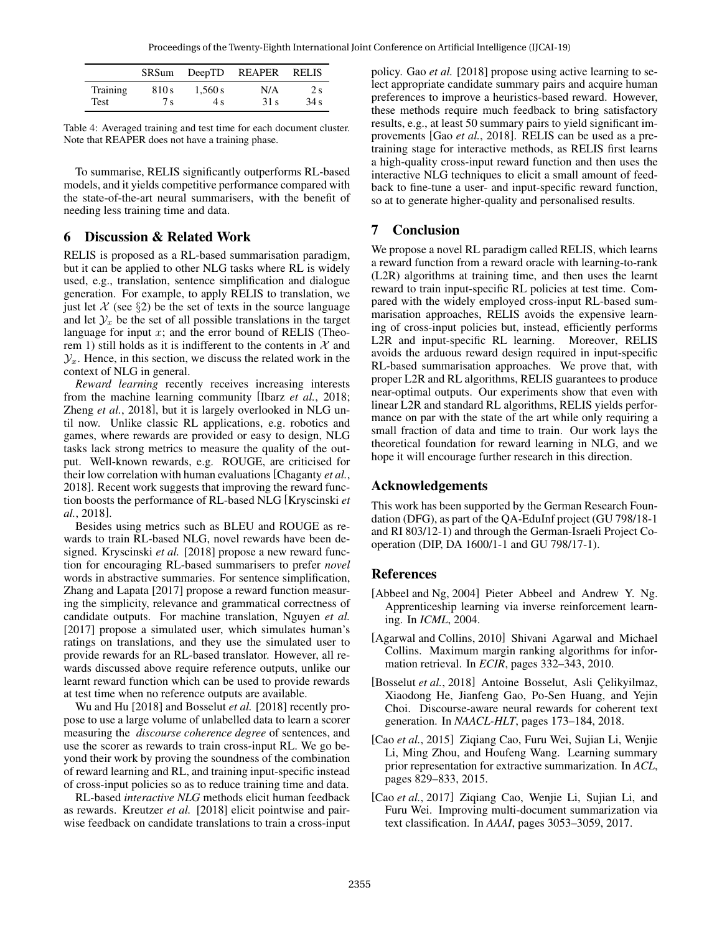|                 |       |         | SRSum DeepTD REAPER | <b>RELIS</b> |
|-----------------|-------|---------|---------------------|--------------|
| <b>Training</b> | 810 s | 1.560 s | N/A                 | 2s           |
| Test            | 7s    | 4 s     | 31 s                | 34s          |

Table 4: Averaged training and test time for each document cluster. Note that REAPER does not have a training phase.

To summarise, RELIS significantly outperforms RL-based models, and it yields competitive performance compared with the state-of-the-art neural summarisers, with the benefit of needing less training time and data.

#### 6 Discussion & Related Work

RELIS is proposed as a RL-based summarisation paradigm, but it can be applied to other NLG tasks where RL is widely used, e.g., translation, sentence simplification and dialogue generation. For example, to apply RELIS to translation, we just let X (see  $\S$ 2) be the set of texts in the source language and let  $\mathcal{Y}_x$  be the set of all possible translations in the target language for input x; and the error bound of RELIS (Theorem 1) still holds as it is indifferent to the contents in  $X$  and  $\mathcal{Y}_x$ . Hence, in this section, we discuss the related work in the context of NLG in general.

*Reward learning* recently receives increasing interests from the machine learning community [Ibarz *et al.*, 2018; Zheng *et al.*, 2018], but it is largely overlooked in NLG until now. Unlike classic RL applications, e.g. robotics and games, where rewards are provided or easy to design, NLG tasks lack strong metrics to measure the quality of the output. Well-known rewards, e.g. ROUGE, are criticised for their low correlation with human evaluations [Chaganty *et al.*, 2018]. Recent work suggests that improving the reward function boosts the performance of RL-based NLG [Kryscinski *et al.*, 2018].

Besides using metrics such as BLEU and ROUGE as rewards to train RL-based NLG, novel rewards have been designed. Kryscinski *et al.* [2018] propose a new reward function for encouraging RL-based summarisers to prefer *novel* words in abstractive summaries. For sentence simplification, Zhang and Lapata [2017] propose a reward function measuring the simplicity, relevance and grammatical correctness of candidate outputs. For machine translation, Nguyen *et al.* [2017] propose a simulated user, which simulates human's ratings on translations, and they use the simulated user to provide rewards for an RL-based translator. However, all rewards discussed above require reference outputs, unlike our learnt reward function which can be used to provide rewards at test time when no reference outputs are available.

Wu and Hu [2018] and Bosselut *et al.* [2018] recently propose to use a large volume of unlabelled data to learn a scorer measuring the *discourse coherence degree* of sentences, and use the scorer as rewards to train cross-input RL. We go beyond their work by proving the soundness of the combination of reward learning and RL, and training input-specific instead of cross-input policies so as to reduce training time and data.

RL-based *interactive NLG* methods elicit human feedback as rewards. Kreutzer *et al.* [2018] elicit pointwise and pairwise feedback on candidate translations to train a cross-input policy. Gao *et al.* [2018] propose using active learning to select appropriate candidate summary pairs and acquire human preferences to improve a heuristics-based reward. However, these methods require much feedback to bring satisfactory results, e.g., at least 50 summary pairs to yield significant improvements [Gao *et al.*, 2018]. RELIS can be used as a pretraining stage for interactive methods, as RELIS first learns a high-quality cross-input reward function and then uses the interactive NLG techniques to elicit a small amount of feedback to fine-tune a user- and input-specific reward function, so at to generate higher-quality and personalised results.

# 7 Conclusion

We propose a novel RL paradigm called RELIS, which learns a reward function from a reward oracle with learning-to-rank (L2R) algorithms at training time, and then uses the learnt reward to train input-specific RL policies at test time. Compared with the widely employed cross-input RL-based summarisation approaches, RELIS avoids the expensive learning of cross-input policies but, instead, efficiently performs L2R and input-specific RL learning. Moreover, RELIS avoids the arduous reward design required in input-specific RL-based summarisation approaches. We prove that, with proper L2R and RL algorithms, RELIS guarantees to produce near-optimal outputs. Our experiments show that even with linear L2R and standard RL algorithms, RELIS yields performance on par with the state of the art while only requiring a small fraction of data and time to train. Our work lays the theoretical foundation for reward learning in NLG, and we hope it will encourage further research in this direction.

# Acknowledgements

This work has been supported by the German Research Foundation (DFG), as part of the QA-EduInf project (GU 798/18-1 and RI 803/12-1) and through the German-Israeli Project Cooperation (DIP, DA 1600/1-1 and GU 798/17-1).

# References

- [Abbeel and Ng, 2004] Pieter Abbeel and Andrew Y. Ng. Apprenticeship learning via inverse reinforcement learning. In *ICML*, 2004.
- [Agarwal and Collins, 2010] Shivani Agarwal and Michael Collins. Maximum margin ranking algorithms for information retrieval. In *ECIR*, pages 332–343, 2010.
- [Bosselut *et al.*, 2018] Antoine Bosselut, Asli Celikyilmaz, Xiaodong He, Jianfeng Gao, Po-Sen Huang, and Yejin Choi. Discourse-aware neural rewards for coherent text generation. In *NAACL-HLT*, pages 173–184, 2018.
- [Cao *et al.*, 2015] Ziqiang Cao, Furu Wei, Sujian Li, Wenjie Li, Ming Zhou, and Houfeng Wang. Learning summary prior representation for extractive summarization. In *ACL*, pages 829–833, 2015.
- [Cao *et al.*, 2017] Ziqiang Cao, Wenjie Li, Sujian Li, and Furu Wei. Improving multi-document summarization via text classification. In *AAAI*, pages 3053–3059, 2017.